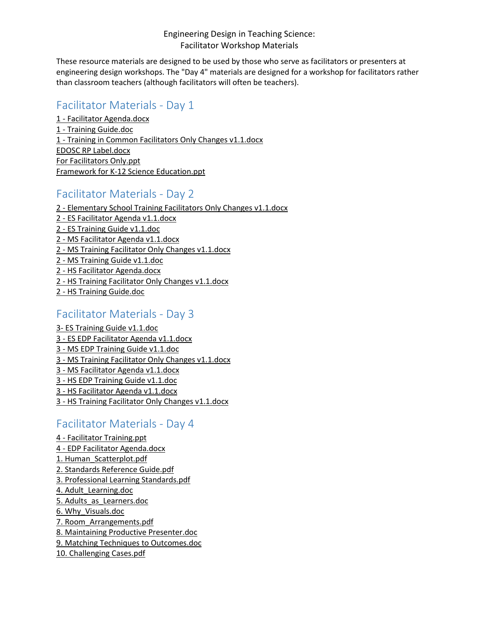#### Engineering Design in Teaching Science: Facilitator Workshop Materials

These resource materials are designed to be used by those who serve as facilitators or presenters at engineering design workshops. The "Day 4" materials are designed for a workshop for facilitators rather than classroom teachers (although facilitators will often be teachers).

## Facilitator Materials - Day 1

1 - [Facilitator Agenda.docx](http://www.oregon.gov/ode/educator-resources/standards/science/Documents/Workshop-Facilitator/day-1-facilitator-agenda.docx) 1 - [Training Guide.doc](http://www.oregon.gov/ode/educator-resources/standards/science/Documents/Workshop-Facilitator/day-1-training-guide.doc) 1 - [Training in Common Facilitators Only Changes v1.1.docx](http://www.oregon.gov/ode/educator-resources/standards/science/Documents/Workshop-Facilitator/day-1-training-in-common-faciliators-only-changes-v1.1.docx) [EDOSC RP Label.docx](http://www.oregon.gov/ode/educator-resources/standards/science/Documents/Workshop-Facilitator/edosc_rp_label.docx) [For Facilitators Only.ppt](http://www.oregon.gov/ode/educator-resources/standards/science/Documents/Workshop-Facilitator/for-facilitators-only.ppt) [Framework for K-12 Science Education.ppt](http://www.oregon.gov/ode/educator-resources/standards/science/Documents/Workshop-Facilitator/framework-for-k-12-science-education.ppt)

## Facilitator Materials - Day 2

2 - [Elementary School Training Facilitators Only Changes v1.1.docx](http://www.oregon.gov/ode/educator-resources/standards/science/Documents/Workshop-Facilitator/es-day-2-elementary-school-training-faciliators-only-changes-v1.1.docx) 2 - [ES Facilitator Agenda v1.1.docx](http://www.oregon.gov/ode/educator-resources/standards/science/Documents/Workshop-Facilitator/es-day-2-facilitator-agenda-v1.1.docx) 2 - [ES Training Guide v1.1.doc](http://www.oregon.gov/ode/educator-resources/standards/science/Documents/Workshop-Facilitator/es-day-2-training-guide-v1.1.doc) 2 - [MS Facilitator Agenda v1.1.docx](http://www.oregon.gov/ode/educator-resources/standards/science/Documents/Workshop-Facilitator/ms-day-2-facilitator-agenda-v1.1.docx) 2 - [MS Training Facilitator Only Changes v1.1.docx](http://www.oregon.gov/ode/educator-resources/standards/science/Documents/Workshop-Facilitator/ms-day-2-training-facilitator-only-changes-v1.1.docx) 2 - [MS Training Guide v1.1.doc](http://www.oregon.gov/ode/educator-resources/standards/science/Documents/Workshop-Facilitator/ms-day-2-training-guide-v1.1.doc) 2 - [HS Facilitator Agenda.docx](http://www.oregon.gov/ode/educator-resources/standards/science/Documents/Workshop-Facilitator/hs-day-2-facilitator-agenda.docx) 2 - [HS Training Facilitator Only Changes v1.1.docx](http://www.oregon.gov/ode/educator-resources/standards/science/Documents/Workshop-Facilitator/hs-day-2-training-facilitator-only-changes-v1.1.docx) 2 - [HS Training Guide.doc](http://www.oregon.gov/ode/educator-resources/standards/science/Documents/Workshop-Facilitator/hs-day-2-training-guide.doc)

#### Facilitator Materials - Day 3

3- [ES Training Guide v1.1.doc](http://www.oregon.gov/ode/educator-resources/standards/science/Documents/Workshop-Facilitator/es-day-3-training-guide-v1.1.doc) 3 - [ES EDP Facilitator Agenda v1.1.docx](http://www.oregon.gov/ode/educator-resources/standards/science/Documents/Workshop-Facilitator/es-edp-facilitator-agenda-v1.1.docx) 3 - [MS EDP Training Guide v1.1.doc](http://www.oregon.gov/ode/educator-resources/standards/science/Documents/Workshop-Facilitator/ms-day-3-edp-training-guide-v1.1.doc) 3 - [MS Training Facilitator Only Changes v1.1.docx](http://www.oregon.gov/ode/educator-resources/standards/science/Documents/Workshop-Facilitator/ms-day-3-training-facilitator-only-changes-v1.1.docx) 3 - [MS Facilitator Agenda v1.1.docx](http://www.oregon.gov/ode/educator-resources/standards/science/Documents/Workshop-Facilitator/ms-day3--facilitator-agenda-v1.1.docx) 3 - [HS EDP Training Guide v1.1.doc](http://www.oregon.gov/ode/educator-resources/standards/science/Documents/Workshop-Facilitator/hs-day-3-edp-training-guide-v1.1.doc) 3 - [HS Facilitator Agenda v1.1.docx](http://www.oregon.gov/ode/educator-resources/standards/science/Documents/Workshop-Facilitator/hs-day-3-facilitator-agenda--v1.1.docx) 3 - [HS Training Facilitator Only Changes v1.1.docx](http://www.oregon.gov/ode/educator-resources/standards/science/Documents/Workshop-Facilitator/hs-day-3-training-facilitator-only-changes-v1.1.docx)

# Facilitator Materials - Day 4

4 - [Facilitator Training.ppt](http://www.oregon.gov/ode/educator-resources/standards/science/Documents/Workshop-Facilitator/day-4---facilitatortraining.ppt) 4 - [EDP Facilitator Agenda.docx](http://www.oregon.gov/ode/educator-resources/standards/science/Documents/Workshop-Facilitator/edp-facilitator-agenda-day-4.docx) [1. Human\\_Scatterplot.pdf](http://www.oregon.gov/ode/educator-resources/standards/science/Documents/Workshop-Facilitator/1.-human_scatterplot.pdf) [2. Standards Reference Guide.pdf](http://www.oregon.gov/ode/educator-resources/standards/science/Documents/Workshop-Facilitator/2.-standardsreferenceguide.pdf) [3. Professional Learning Standards.pdf](http://www.oregon.gov/ode/educator-resources/standards/science/Documents/Workshop-Facilitator/3.-professional-learning-standards.pdf) [4. Adult\\_Learning.doc](http://www.oregon.gov/ode/educator-resources/standards/science/Documents/Workshop-Facilitator/4.-adult_learning.doc) [5. Adults\\_as\\_Learners.doc](http://www.oregon.gov/ode/educator-resources/standards/science/Documents/Workshop-Facilitator/5.-adults_as_learners.doc) [6. Why\\_Visuals.doc](http://www.oregon.gov/ode/educator-resources/standards/science/Documents/Workshop-Facilitator/6.-why_visuals.doc) [7. Room\\_Arrangements.pdf](http://www.oregon.gov/ode/educator-resources/standards/science/Documents/Workshop-Facilitator/7.-room_arrangements.pdf) [8. Maintaining Productive Presenter.doc](http://www.oregon.gov/ode/educator-resources/standards/science/Documents/Workshop-Facilitator/8.-maintaining-productive-presenter.doc) [9. Matching Techniques to Outcomes.doc](http://www.oregon.gov/ode/educator-resources/standards/science/Documents/Workshop-Facilitator/9.-matching-techniques-to-outcomes.doc) [10. Challenging Cases.pdf](http://www.oregon.gov/ode/educator-resources/standards/science/Documents/Workshop-Facilitator/10.-challenging-cases.pdf)